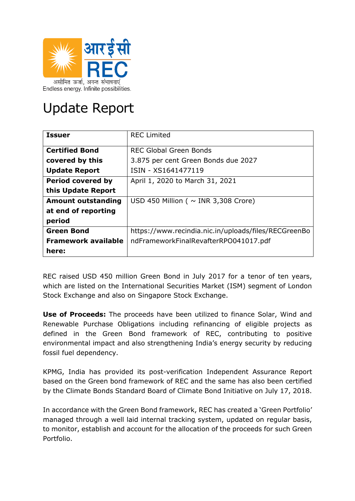

## Update Report

| <b>Issuer</b>              | <b>REC Limited</b>                                   |  |  |  |
|----------------------------|------------------------------------------------------|--|--|--|
| <b>Certified Bond</b>      | <b>REC Global Green Bonds</b>                        |  |  |  |
| covered by this            | 3.875 per cent Green Bonds due 2027                  |  |  |  |
| <b>Update Report</b>       | ISIN - XS1641477119                                  |  |  |  |
| <b>Period covered by</b>   | April 1, 2020 to March 31, 2021                      |  |  |  |
| this Update Report         |                                                      |  |  |  |
| <b>Amount outstanding</b>  | USD 450 Million ( $\sim$ INR 3,308 Crore)            |  |  |  |
| at end of reporting        |                                                      |  |  |  |
| period                     |                                                      |  |  |  |
| <b>Green Bond</b>          | https://www.recindia.nic.in/uploads/files/RECGreenBo |  |  |  |
| <b>Framework available</b> | ndFrameworkFinalRevafterRPO041017.pdf                |  |  |  |
| here:                      |                                                      |  |  |  |

REC raised USD 450 million Green Bond in July 2017 for a tenor of ten years, which are listed on the International Securities Market (ISM) segment of London Stock Exchange and also on Singapore Stock Exchange.

**Use of Proceeds:** The proceeds have been utilized to finance Solar, Wind and Renewable Purchase Obligations including refinancing of eligible projects as defined in the Green Bond framework of REC, contributing to positive environmental impact and also strengthening India's energy security by reducing fossil fuel dependency.

KPMG, India has provided its post-verification Independent Assurance Report based on the Green bond framework of REC and the same has also been certified by the Climate Bonds Standard Board of Climate Bond Initiative on July 17, 2018.

In accordance with the Green Bond framework, REC has created a 'Green Portfolio' managed through a well laid internal tracking system, updated on regular basis, to monitor, establish and account for the allocation of the proceeds for such Green Portfolio.